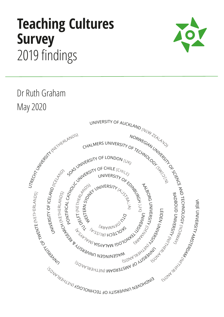# **Teaching Cultures Survey**  2019 findings



Dr Ruth Graham May 2020

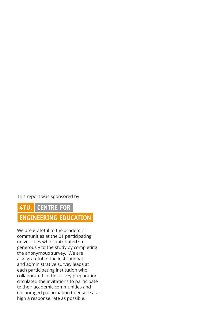This report was sponsored by

## 4TU. CENTRE FOR **ENGINEERING EDUCATION**

We are grateful to the academic communities at the 21 participating universities who contributed so generously to the study by completing the anonymous survey. We are also grateful to the institutional and administrative survey leads at each participating institution who collaborated in the survey preparation, circulated the invitations to participate to their academic communities and encouraged participation to ensure as high a response rate as possible.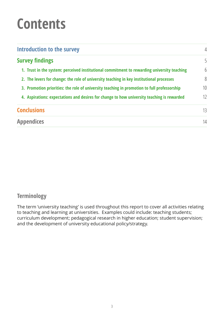# **Contents**

| Introduction to the survey<br><b>Survey findings</b>                                        |                 |
|---------------------------------------------------------------------------------------------|-----------------|
|                                                                                             |                 |
| 2. The levers for change: the role of university teaching in key institutional processes    | 8               |
| 3. Promotion priorities: the role of university teaching in promotion to full professorship | 10 <sup>1</sup> |
| 4. Aspirations: expectations and desires for change to how university teaching is rewarded  | 12              |
| <b>Conclusions</b>                                                                          | 13              |
| <b>Appendices</b>                                                                           | 14              |

## **Terminology**

The term 'university teaching' is used throughout this report to cover all activities relating to teaching and learning at universities. Examples could include: teaching students; curriculum development; pedagogical research in higher education; student supervision; and the development of university educational policy/strategy.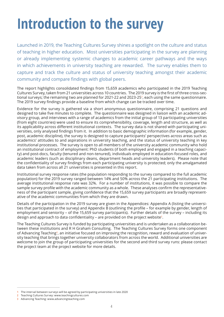# <span id="page-3-0"></span>**Introduction to the survey**

Launched in 2019, the Teaching Cultures Survey shines a spotlight on the culture and status of teaching in higher education. Most universities participating in the survey are planning or already implementing systemic changes to academic career pathways and the ways in which achievements in university teaching are rewarded. The survey enables them to capture and track the culture and status of university teaching amongst their academic community and compare findings with global peers.

The report highlights consolidated findings from 15,659 academics who participated in the 2019 Teaching Cultures Survey, taken from 21 universities across 10 countries. The 2019 survey is the first of three cross-sectional surveys; the remaining two are planned for 2021-22 and 2023-25**<sup>1</sup>** , each using the same questionnaire. The 2019 survey findings provide a baseline from which change can be tracked over time.

Evidence for the survey is gathered via a short anonymous questionnaire, comprising 21 questions and designed to take five minutes to complete. The questionnaire was designed in liaison with an academic advisory group, and interviews with a range of academics from the initial group of 13 participating universities (from eight countries) were used to ensure its comprehensibility, coverage, length and structure, as well as its applicability across different institutional contexts. The survey data is not shared with participating universities, only analysed findings from it. In addition to basic demographic information (for example, gender, post, academic discipline), the survey is designed to capture participants' perspectives across areas such as academics' attitudes to and aspirations in university teaching, and the status of university teaching in key institutional processes. The survey is open to all members of the university academic community who hold an institutional contract of employment: PhD students (if both employed and engaged in a teaching capacity) and post-docs, faculty (tenured and non-tenured), individuals employed in education-focused roles, and academic leaders (such as disciplinary deans, department heads and university leaders). Please note that the confidentiality of survey findings from each participating university is protected; only the amalgamated data taken from across all 21 universities is presented in this report.

Institutional survey response rates (the population responding to the survey compared to the full academic population) for the 2019 survey ranged between 14% and 50% across the 21 participating institutions. The average institutional response rate was 32%. For a number of institutions, it was possible to compare the sample survey profile with the academic community as a whole. These analyses confirm the representativeness of the participant sample, giving confidence that the 15,659 survey participants are broadly representative of the academic communities from which they are drawn.

Details of the participation in the 2019 survey are given in the Appendices: Appendix A (listing the universities that participated in the survey) and Appendix B (outlining the profile – for example by gender, length of employment and seniority – of the 15,659 survey participants). Further details of the survey – including its design and approach to data confidentiality – are provided on the project website**<sup>2</sup>** .

The Teaching Cultures Survey is funded by participating universities and is undertaken as a collaboration between these institutions and R H Graham Consulting. The Teaching Cultures Survey forms one component of Advancing Teaching**<sup>3</sup>** , an initiative focused on improving the recognition, reward and evaluation of university teaching that brings together university collaborators from across the world. Additional universities are welcome to join the group of participating universities for the second and third survey runs: please contact the project team at the project website for more details.

**<sup>1</sup>** The interval between surveys will be agreed by participating universities in late 2020

**<sup>2</sup>** Teaching Cultures Survey: [www.teachingcultures.com](http://www.teachingcultures.com)

**<sup>3</sup>** Advancing Teaching: [www.advancingteaching.com](http://www.advancingteaching.com)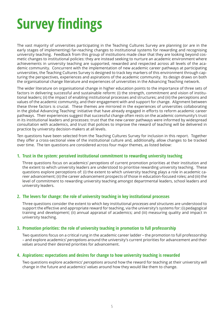# <span id="page-4-0"></span>**Survey findings**

The vast majority of universities participating in the Teaching Cultures Survey are planning (or are in the early stages of implementing) far-reaching changes to institutional systems for rewarding and recognising university teaching. Feedback from this group of institutions made clear that they are looking beyond cosmetic changes to institutional policies: they are instead seeking to nurture an academic environment where achievements in university teaching are supported, rewarded and respected across all levels of the academic community. Concurrent with the implementation of new academic career pathways at participating universities, the Teaching Cultures Survey is designed to track key markers of this environment through capturing the perspectives, experiences and aspirations of the academic community. Its design draws on both the organisational change literature and experiences of universities in the Advancing Teaching network.

The wider literature on organisational change in higher education points to the importance of three sets of factors in delivering successful and sustainable reform: (i) the strength, commitment and vision of institutional leaders; (ii) the impact of enabling institutional processes and structures; and (iii) the perceptions and values of the academic community, and their engagement with and support for change. Alignment between these three factors is crucial. These themes are mirrored in the experiences of universities collaborating in the global Advancing Teaching<sup>3</sup> initiative that have already engaged in efforts to reform academic career pathways. Their experiences suggest that successful change often rests on the academic community's trust in its institutional leaders and processes: trust that the new career pathways were informed by widespread consultation with academics, and trust that policies to improve the reward of teaching will be delivered in practice by university decision-makers at all levels.

Ten questions have been selected from the Teaching Cultures Survey for inclusion in this report. Together they offer a cross-sectional view of the institutional culture and, additionally, allow changes to be tracked over time. The ten questions are considered across four major themes, as listed below:

#### **1. Trust in the system: perceived institutional commitment to rewarding university teaching**

Three questions focus on academics' *perceptions* of current promotion priorities at their institution and the extent to which university leaders are understood to prioritise rewarding university teaching. These questions explore perceptions of: (i) the extent to which university teaching plays a role in academic career advancement; (ii) the career advancement prospects of those in education-focused roles; and (iii) the level of commitment to rewarding university teaching amongst departmental leaders, school leaders and university leaders.

#### **2. The levers for change: the role of university teaching in key institutional processes**

Three questions consider the extent to which key institutional *processes and structures* are understood to support the effective and appropriate reward for teaching, via the university's systems for: (i) pedagogical training and development; (ii) annual appraisal of academics; and (iii) measuring quality and impact in university teaching.

#### **3. Promotion priorities: the role of university teaching in promotion to full professorship**

Two questions focus on a critical rung in the academic career ladder – the promotion to full professorship – and explore academics' *perceptions* around the university's current priorities for advancement and their *values* around their desired priorities for advancement.

#### **4. Aspirations: expectations and desires for change to how university teaching is rewarded**

Two questions explore academics' *perceptions* around how the reward for teaching at their university will change in the future and academics' *values* around how they would like them to change.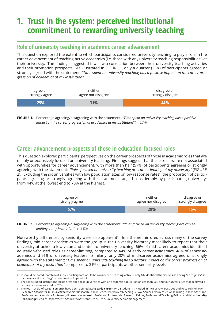## <span id="page-5-0"></span>**1. Trust in the system: perceived institutional commitment to rewarding university teaching**

### **Role of university teaching in academic career advancement**

This question explored the extent to which participants considered university teaching to play a role in the career advancement of teaching-active academics (i.e. those with any university teaching responsibilities**<sup>4</sup>** ) at their university. The findings suggested few saw a correlation between their university teaching activities and their promotion prospects. As illustrated in FIGURE 1, only a quarter (25%) of participants agreed or strongly agreed with the statement: *"Time spent on university teaching has a positive impact on the career progression of academics at my institution"*.

| agree or<br>strongly agree | neither<br>agree nor disagree | disagree or<br>strongly disagree |
|----------------------------|-------------------------------|----------------------------------|
| 25%                        | 31%                           | 44%                              |

**FIGURE 1.** Percentage agreeing/disagreeing with the statement: *"Time spent on university teaching has a positive impact on the career progression of academics at my institution"* (n=15,510)

### **Career advancement prospects of those in education-focused roles**

This question explored participants' perspectives on the career prospects of those in academic roles that are mainly or exclusively focused on university teaching. Findings suggest that these roles were not associated with opportunities for career advancement, with more than half (57%) of participants agreeing or strongly agreeing with the statement: *"Roles focused on university teaching are career-limiting at my university"* (FIGURE 2). Excluding the six universities with low population sizes or low response rates**<sup>5</sup>** , the proportion of participants agreeing or strongly agreeing with this statement ranged considerably by participating university: from 44% at the lowest end to 70% at the highest.

| agree or       | neither            | disagree or       |
|----------------|--------------------|-------------------|
| strongly agree | agree nor disagree | strongly disagree |
| 57%            | 28%                | 15%               |

**FIGURE 2.** Percentage agreeing/disagreeing with the statement: *"Roles focused on university teaching are careerlimiting at my institution"* (n=15,505)

Noteworthy differences by seniority were also apparent<sup>6</sup>. In a theme mirrored across many of the survey findings, mid-career academics were the group in the university hierarchy most likely to report that their university attached a low value and status to university teaching: 66% of mid-career academics identified education-focused roles as career-limiting, compared to 44% of early career academics, 48% of senior academics and 51% of university leaders. Similarly, only 20% of mid-career academics agreed or strongly agreed with the statement: *"Time spent on university teaching has a positive impact on the career progression of academics at my institution"* compared to 31% of participants at other seniority levels.

**<sup>4</sup>** It should be noted that 94% of survey participants would be considered 'teaching-active' – only 6% identified themselves as having *"no responsibilities in university teaching"* , as outlined in Appendix B

**<sup>5</sup>** The six excluded institutions include two specialist universities with an academic population of less than 500 and four universities that achieved a survey response rate below 25%

**<sup>6</sup>** The four 'levels' of career seniority have been defined as: (i) **early career**: PhD student (if included in the survey), post-doc and Research Fellow/ Research Associate); (ii) **mid-career**: Senior Research Fellow, Teacher/Lecturer/Teaching Fellow, Senior Lecturer/Senior Teaching Fellow, Assistant Professor and Associate Professor; (iii) **senior academic**: Professor, Professorial Research Fellow, Professorial Teaching Fellow; and (iv) **university leadership**: Head of Department, Associate/Assistant Dean, Dean, university senior management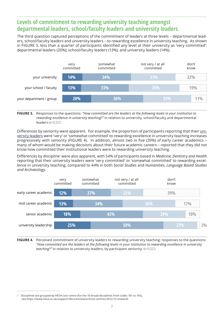### **Levels of commitment to rewarding university teaching amongst departmental leaders, school/faculty leaders and university leaders**

The third question captured perceptions of the commitment of leaders at three levels – departmental leaders, school/faculty leaders and university leaders – to rewarding excellence in university teaching. As shown in FIGURE 3, less than a quarter of participants identified any level at their university as 'very committed': departmental leaders (20%); school/faculty leaders (13%); and university leaders (14%).



**FIGURE 3.** Responses to the questions: *"How committed are the leaders at the following levels in your institution to rewarding excellence in university teaching?"* in relation to university, school/faculty and departmental leaders (n=15,527)

Differences by seniority were apparent. For example, the proportion of participants reporting that their university leaders were 'very' or 'somewhat committed' to rewarding excellence in university teaching increases progressively with seniority (FIGURE 4). In addition, almost two in five (39%) of early career academics – many of whom would be making decisions about their future academic careers – reported that they did not know how committed their institutional leaders were to rewarding university teaching.

Differences by discipline**<sup>7</sup>** were also apparent, with 54% of participants based in *Medicine, Dentistry and Health*  reporting that their university leaders were 'very committed' or 'somewhat committed' to rewarding excellence in university teaching, compared to 44% in both *Social Studies* and *Humanities, Language Based Studies and Archaeology*.



**FIGURE 4.** Perceived commitment of university leaders to rewarding university teaching: responses to the questions: *"How committed are the leaders at the following levels in your institution to rewarding excellence in university teaching?"* in relation to university leaders, by participant seniority (n=15,527)

**<sup>7</sup>** Disciplines are grouped by HESA cost centre (for the 10 broad disciplines from codes 101 to 145), see <https://www.hesa.ac.uk/support/documentation/cost-centres/2012-13-onwards>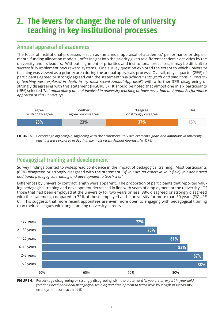## <span id="page-7-0"></span>**2. The levers for change: the role of university teaching in key institutional processes**

## **Annual appraisal of academics**

The focus of institutional processes – such as the annual appraisal of academics' performance or departmental funding allocation models – offer insight into the priority given to different academic activities by the university and its leaders. Without alignment of priorities and institutional processes, it may be difficult to successfully implement new reward systems. One survey question explored the extent to which university teaching was viewed as a priority area during the annual appraisals process. Overall, only a quarter (25%) of participants agreed or strongly agreed with the statement*: "My achievements, goals and ambitions in university teaching were explored in depth in my most recent Annual Appraisal",* with a further 37% disagreeing or strongly disagreeing with this statement (FIGURE 5). It should be noted that almost one in six participants (15%) selected *'Not applicable (I am not involved in university teaching or have never had an Annual Performance Appraisal at this university)'*.



**FIGURE 5.** Percentage agreeing/disagreeing with the statement: *"My achievements, goals and ambitions in university teaching were explored in depth in my most recent Annual Appraisal"* (n=15,622)

### **Pedagogical training and development**

Survey findings pointed to widespread confidence in the impact of pedagogical training. Most participants (83%) disagreed or strongly disagreed with the statement: *"If you are an expert in your field, you don't need additional pedagogical training and development to teach well".* 

Differences by university contract length were apparent. The proportion of participants that reported valuing pedagogical training and development decreased in line with years of employment at the university. Of those that had been employed at the university for two years or less, 88% disagreed or strongly disagreed with the statement, compared to 72% of those employed at the university for more than 30 years (FIGURE 6). This suggests that more recent appointees are even more open to engaging with pedagogical training than their colleagues with long-standing university careers.



**FIGURE 6.** Percentage disagreeing or strongly disagreeing with the statement *"If you are an expert in your field, you don't need additional pedagogical training and development to teach well"* by length of university employment contract (n=15,617)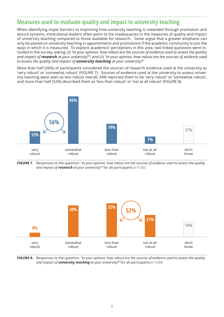#### **Measures used to evaluate quality and impact in university teaching**

When identifying major barriers to improving how university teaching is rewarded through promotion and tenure systems, institutional leaders often point to the inadequacies in the measures of quality and impact of university teaching compared to those available for research. Some argue that a greater emphasis can only be placed on university teaching in appointments and promotions if the academic community trusts the ways in which it is measured. To explore academics' perceptions in this area, two linked questions were included in the survey, asking: (i) *"In your opinion, how robust are the sources of evidence used to assess the quality and impact of research at your university?";* and (ii) *"In your opinion, how robust are the sources of evidence used to assess the quality and impact of university teaching at your university?"*

More than half (56%) of participants considered the sources of research evidence used at the university as 'very robust' or 'somewhat robust' (FIGURE 7). Sources of evidence used at the university to assess university teaching were seen as less robust overall; 34% reported them to be 'very robust' or 'somewhat robust', and more than half (52%) described them as 'less than robust' or 'not at all robust' (FIGURE 8).



**FIGURE 7.** Responses to the question: *"In your opinion, how robust are the sources of evidence used to assess the quality and impact of research at your university?"* for all participants (n=15,592)



**FIGURE 8.** Responses to the question: *"In your opinion, how robust are the sources of evidence used to assess the quality and impact of university teaching at your university?"* for all participants (n=15,604)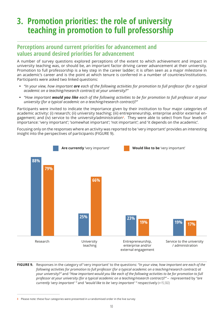## <span id="page-9-0"></span>**3. Promotion priorities: the role of university teaching in promotion to full professorship**

#### **Perceptions around current priorities for advancement and values around desired priorities for advancement**

A number of survey questions explored perceptions of the extent to which achievement and impact in university teaching was, or should be, an important factor driving career advancement at their university. Promotion to full professorship is a key step in the career ladder; it is often seen as a major milestone in an academic's career and is the point at which tenure is conferred in a number of countries/institutions. Participants were asked two linked questions:

- **•** *"In your view, how important are each of the following activities for promotion to full professor (for a typical academic on a teaching/research contract) at your university?"*
- **•** *"How important would you like each of the following activities to be for promotion to full professor at your university (for a typical academic on a teaching/research contract)?"*

Participants were invited to indicate the importance given by their institution to four major categories of academic activity: (i) research; (ii) university teaching; (iii) entrepreneurship, enterprise and/or external engagement; and (iv) service to the university/administration**<sup>8</sup>** . They were able to select from four levels of importance: 'very important'; 'somewhat important'; 'not important'; and 'it depends on the academic'.

Focusing only on the responses where an activity was reported to be 'very important' provides an interesting insight into the perspectives of participants (FIGURE 9).



**FIGURE 9.** Responses in the category of 'very important' to the questions: *"In your view, how important are each of the following activities for promotion to full professor (for a typical academic on a teaching/research contract) at your university?"* and *"How important would you like each of the following activities to be for promotion to full professor at your university (for a typical academic on a teaching/research contract)?"* – represented by *"are currently 'very important' "* and *"would like to be 'very important' "* respectively (n=15,502)

**<sup>8</sup>** Please note: these four categories were presented in a randomised order in the live survey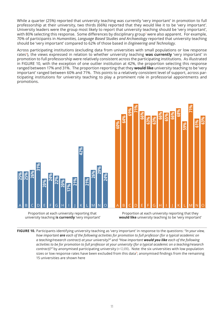While a quarter (25%) reported that university teaching was currently 'very important' in promotion to full professorship at their university, two thirds (66%) reported that they would like it to be 'very important'. University leaders were the group most likely to report that university teaching should be 'very important', with 80% selecting this response. Some differences by disciplinary group**<sup>7</sup>** were also apparent. For example, 70% of participants in *Humanities, Language Based Studies and Archaeology* reported that university teaching should be 'very important' compared to 62% of those based in *Engineering and Technology*.

Across participating institutions (excluding data from universities with small populations or low response rates**<sup>5</sup>** ), the views expressed in relation to whether university teaching **was currently** 'very important' in promotion to full professorship were relatively consistent across the participating institutions. As illustrated in FIGURE 10, with the exception of one outlier institution at 42%, the proportion selecting this response ranged between 17% and 31%. The proportion reporting that they **would like** university teaching to be 'very important' ranged between 60% and 71%. This points to a relatively consistent level of support, across participating institutions for university teaching to play a prominent role in professorial appointments and promotions.



university teaching **is currently** 'very important'

**would like** university teaching to be 'very important'

**FIGURE 10.** Participants identifying university teaching as 'very important' in response to the questions: *"In your view, how important are each of the following activities for promotion to full professor (for a typical academic on a teaching/research contract) at your university?"* and *"How important would you like each of the following activities to be for promotion to full professor at your university (for a typical academic on a teaching/research contract)?"* by anonymised participating university (n=12,690). Note: the six universities with low population sizes or low response rates have been excluded from this data**<sup>5</sup>** ; anonymised findings from the remaining 15 universities are shown here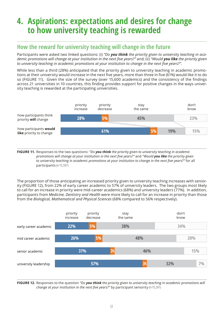## <span id="page-11-0"></span>**4. Aspirations: expectations and desires for change to how university teaching is rewarded**

### **How the reward for university teaching will change in the future**

Participants were asked two linked questions: (i) *"Do you think the priority given to university teaching in academic promotions will change at your institution in the next five years?"* and; (ii) *"Would you like the priority given to university teaching in academic promotions at your institution to change in the next five years?".*

While less than a third (28%) anticipated that the priority given to university teaching in academic promotions at their university would increase in the next five years, more than three in five (61%) would like it to do so (FIGURE 11). Given the size of the survey (over 15,600 academics) and the consistency of the findings across 21 universities in 10 countries, this finding provides support for positive changes in the ways university teaching is rewarded at the participating universities.



**FIGURE 11.** Responses to the two questions: *"Do you think the priority given to university teaching in academic promotions will change at your institution in the next five years?"* and *"Would you like the priority given to university teaching in academic promotions at your institution to change in the next five years?"* for all participants (n=15,597)

The proportion of those anticipating an increased priority given to university teaching increases with seniority (FIGURE 12), from 22% of early career academic to 57% of university leaders. The two groups most likely to call for an increase in priority were mid-career academics (68%) and university leaders (77%). In addition, participants from *Medicine, Dentistry and Health* were more likely to call for an increase in priority than those from the *Biological, Mathematical and Physical Sciences* (68% compared to 56% respectively).



**FIGURE 12.** Responses to the question *"Do you think the priority given to university teaching in academic promotions will change at your institution in the next five years?"* by participant seniority (n=15,597)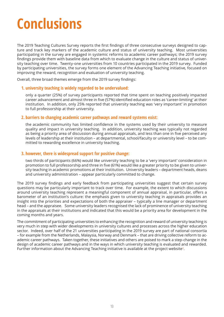# <span id="page-12-0"></span>**Conclusions**

The 2019 Teaching Cultures Survey reports the first findings of three consecutive surveys designed to capture and track key markers of the academic culture and status of university teaching. Most universities participating in the survey are engaged in systemic reforms to academic career pathways; the 2019 survey findings provide them with baseline data from which to evaluate change in the culture and status of university teaching over time. Twenty-one universities from 10 countries participated in the 2019 survey. Funded by participating universities, the survey forms one element of the Advancing Teaching initiative, focused on improving the reward, recognition and evaluation of university teaching.

Overall, three broad themes emerge from the 2019 survey findings:

#### **1. university teaching is widely regarded to be undervalued:**

only a quarter (25%) of survey participants reported that time spent on teaching positively impacted career advancement and almost three in five (57%) identified education roles as 'career-limiting' at their institution. In addition, only 25% reported that university teaching was 'very important' in promotion to full professorship at their university.

#### **2. barriers to changing academic career pathways and reward systems exist:**

the academic community has limited confidence in the systems used by their university to measure quality and impact in university teaching. In addition, university teaching was typically not regarded as being a priority area of discussion during annual appraisals, and less than one in five perceived any levels of leadership at their institution – at departmental, school/faculty or university level – to be committed to rewarding excellence in university teaching.

#### **3. however, there is widespread support for positive change:**

two thirds of participants (66%) would like university teaching to be a 'very important' consideration in promotion to full professorship and three in five (61%) would like a greater priority to be given to university teaching in academic promotions at their institution. University leaders – department heads, deans and university administration – appear particularly committed to change.

The 2019 survey findings and early feedback from participating universities suggest that certain survey questions may be particularly important to track over time. For example, the extent to which discussions around university teaching represent a meaningful component of annual appraisal, in particular, offers a barometer of an institution's culture: the emphasis given to university teaching in appraisals provides an insight into the priorities and expectations of both the appraiser – typically a line manager or department head – and the appraisee. Some university leaders recognised the lack of prominence of university teaching in the appraisals at their institutions and indicated that this would be a priority area for development in the coming months and years.

The commitment of participating universities to enhancing the recognition and reward of university teaching is very much in step with wider developments in university cultures and processes across the higher education sector. Indeed, over half of the 21 universities participating in the 2019 survey are part of national consortia – for example from the Netherlands, Malaysia, Norway and Denmark – that are driving collective reform to academic career pathways. Taken together, these initiatives and others are poised to mark a step-change in the design of academic career pathways and in the ways in which university teaching is evaluated and rewarded. Further information about the Advancing Teaching initiative is available at the project website**<sup>3</sup>** .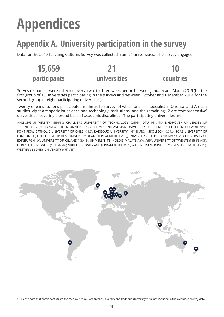# <span id="page-13-0"></span>**Appendices**

**par** 

## **Appendix A. University participation in the survey**

Data for the 2019 Teaching Cultures Survey was collected from 21 universities. The survey engaged:

| 15,659      |              | 10        |
|-------------|--------------|-----------|
| articipants | universities | countries |

Survey responses were collected over a two- to three-week period between January and March 2019 (for the first group of 13 universities participating in the survey) and between October and December 2019 (for the second group of eight participating universities).

Twenty-one institutions participated in the 2019 survey, of which one is a specialist in Oriental and African studies, eight are specialist science and technology institutions, and the remaining 12 are 'comprehensive' universities, covering a broad base of academic disciplines. The participating universities are:

AALBORG UNIVERSITY (DENMARK), CHALMERS UNIVERSITY OF TECHNOLOGY (SWEDEN), DTU (DENMARK), EINDHOVEN UNIVERSITY OF TECHNOLOGY (NETHERLANDS), LEIDEN UNIVERSITY (NETHERLANDS), NORWEGIAN UNIVERSITY OF SCIENCE AND TECHNOLOGY (NORWAY), PONTIFICAL CATHOLIC UNIVERSITY OF CHILE (CHILE), RADBOUD UNIVERSITY**<sup>9</sup>** (NETHERLANDS), SKOLTECH (RUSSIA), SOAS UNIVERSITY OF LONDON (UK), TU DELFT (NETHERLANDS), UNIVERSITY OF AMSTERDAM (NETHERLANDS), UNIVERSITY OF AUCKLAND (NEW ZEALAND), UNIVERSITY OF EDINBURGH (UK), UNIVERSITY OF ICELAND (ICELAND), UNIVERSITI TEKNOLOGI MALAYSIA (MALAYSIA), UNIVERSITY OF TWENTE (NETHERLANDS), UTRECHT UNIVERSITY**<sup>9</sup>** (NETHERLANDS), VRIJE UNIVERSITY AMSTERDAM (NETHERLANDS), WAGENINGEN UNIVERSITY & RESEARCH (NETHERLANDS), WESTERN SYDNEY UNIVERSITY (AUSTRALIA)



**<sup>9</sup>** Please note that participants from the medical schools at Utrecht University and Radboud University were not included in the combined survey data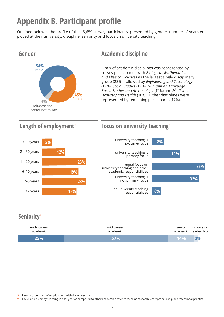# **Appendix B. Participant profile**

Outlined below is the profile of the 15,659 survey participants, presented by gender, number of years employed at their university, discipline, seniority and focus on university teaching.



| early career | mid career | senior              | university |
|--------------|------------|---------------------|------------|
| academic     | academic   | academic leadership |            |
| 25%          | <b>57%</b> | 14%                 | 2%         |

**<sup>10</sup>** Length of contract of employment with the university

**<sup>11</sup>** Focus on university teaching in past year as compared to other academic activities (such as research, entrepreneurship or professional practice)